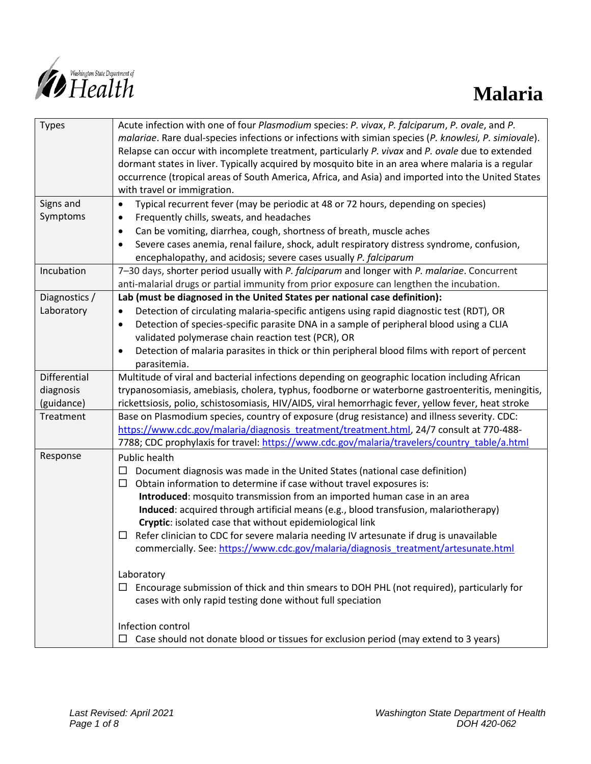

| <b>Types</b>  | Acute infection with one of four Plasmodium species: P. vivax, P. falciparum, P. ovale, and P.<br>malariae. Rare dual-species infections or infections with simian species (P. knowlesi, P. simiovale).<br>Relapse can occur with incomplete treatment, particularly P. vivax and P. ovale due to extended<br>dormant states in liver. Typically acquired by mosquito bite in an area where malaria is a regular<br>occurrence (tropical areas of South America, Africa, and Asia) and imported into the United States<br>with travel or immigration. |
|---------------|-------------------------------------------------------------------------------------------------------------------------------------------------------------------------------------------------------------------------------------------------------------------------------------------------------------------------------------------------------------------------------------------------------------------------------------------------------------------------------------------------------------------------------------------------------|
| Signs and     | Typical recurrent fever (may be periodic at 48 or 72 hours, depending on species)<br>$\bullet$                                                                                                                                                                                                                                                                                                                                                                                                                                                        |
| Symptoms      | Frequently chills, sweats, and headaches<br>$\bullet$                                                                                                                                                                                                                                                                                                                                                                                                                                                                                                 |
|               | Can be vomiting, diarrhea, cough, shortness of breath, muscle aches<br>$\bullet$                                                                                                                                                                                                                                                                                                                                                                                                                                                                      |
|               | Severe cases anemia, renal failure, shock, adult respiratory distress syndrome, confusion,<br>$\bullet$                                                                                                                                                                                                                                                                                                                                                                                                                                               |
|               | encephalopathy, and acidosis; severe cases usually P. falciparum                                                                                                                                                                                                                                                                                                                                                                                                                                                                                      |
| Incubation    | 7-30 days, shorter period usually with P. falciparum and longer with P. malariae. Concurrent                                                                                                                                                                                                                                                                                                                                                                                                                                                          |
|               | anti-malarial drugs or partial immunity from prior exposure can lengthen the incubation.                                                                                                                                                                                                                                                                                                                                                                                                                                                              |
| Diagnostics / | Lab (must be diagnosed in the United States per national case definition):                                                                                                                                                                                                                                                                                                                                                                                                                                                                            |
| Laboratory    | Detection of circulating malaria-specific antigens using rapid diagnostic test (RDT), OR<br>$\bullet$                                                                                                                                                                                                                                                                                                                                                                                                                                                 |
|               | Detection of species-specific parasite DNA in a sample of peripheral blood using a CLIA<br>$\bullet$                                                                                                                                                                                                                                                                                                                                                                                                                                                  |
|               | validated polymerase chain reaction test (PCR), OR                                                                                                                                                                                                                                                                                                                                                                                                                                                                                                    |
|               | Detection of malaria parasites in thick or thin peripheral blood films with report of percent<br>$\bullet$                                                                                                                                                                                                                                                                                                                                                                                                                                            |
|               | parasitemia.                                                                                                                                                                                                                                                                                                                                                                                                                                                                                                                                          |
| Differential  | Multitude of viral and bacterial infections depending on geographic location including African                                                                                                                                                                                                                                                                                                                                                                                                                                                        |
| diagnosis     | trypanosomiasis, amebiasis, cholera, typhus, foodborne or waterborne gastroenteritis, meningitis,                                                                                                                                                                                                                                                                                                                                                                                                                                                     |
| (guidance)    | rickettsiosis, polio, schistosomiasis, HIV/AIDS, viral hemorrhagic fever, yellow fever, heat stroke                                                                                                                                                                                                                                                                                                                                                                                                                                                   |
| Treatment     | Base on Plasmodium species, country of exposure (drug resistance) and illness severity. CDC:                                                                                                                                                                                                                                                                                                                                                                                                                                                          |
|               | https://www.cdc.gov/malaria/diagnosis_treatment/treatment.html, 24/7 consult at 770-488-                                                                                                                                                                                                                                                                                                                                                                                                                                                              |
|               | 7788; CDC prophylaxis for travel: https://www.cdc.gov/malaria/travelers/country table/a.html                                                                                                                                                                                                                                                                                                                                                                                                                                                          |
| Response      | Public health                                                                                                                                                                                                                                                                                                                                                                                                                                                                                                                                         |
|               | Document diagnosis was made in the United States (national case definition)                                                                                                                                                                                                                                                                                                                                                                                                                                                                           |
|               | Obtain information to determine if case without travel exposures is:<br>□                                                                                                                                                                                                                                                                                                                                                                                                                                                                             |
|               | Introduced: mosquito transmission from an imported human case in an area                                                                                                                                                                                                                                                                                                                                                                                                                                                                              |
|               | Induced: acquired through artificial means (e.g., blood transfusion, malariotherapy)<br>Cryptic: isolated case that without epidemiological link                                                                                                                                                                                                                                                                                                                                                                                                      |
|               | Refer clinician to CDC for severe malaria needing IV artesunate if drug is unavailable                                                                                                                                                                                                                                                                                                                                                                                                                                                                |
|               | commercially. See: https://www.cdc.gov/malaria/diagnosis_treatment/artesunate.html                                                                                                                                                                                                                                                                                                                                                                                                                                                                    |
|               |                                                                                                                                                                                                                                                                                                                                                                                                                                                                                                                                                       |
|               | Laboratory                                                                                                                                                                                                                                                                                                                                                                                                                                                                                                                                            |
|               | Encourage submission of thick and thin smears to DOH PHL (not required), particularly for<br>⊔                                                                                                                                                                                                                                                                                                                                                                                                                                                        |
|               | cases with only rapid testing done without full speciation                                                                                                                                                                                                                                                                                                                                                                                                                                                                                            |
|               | Infection control                                                                                                                                                                                                                                                                                                                                                                                                                                                                                                                                     |
|               | $\Box$ Case should not donate blood or tissues for exclusion period (may extend to 3 years)                                                                                                                                                                                                                                                                                                                                                                                                                                                           |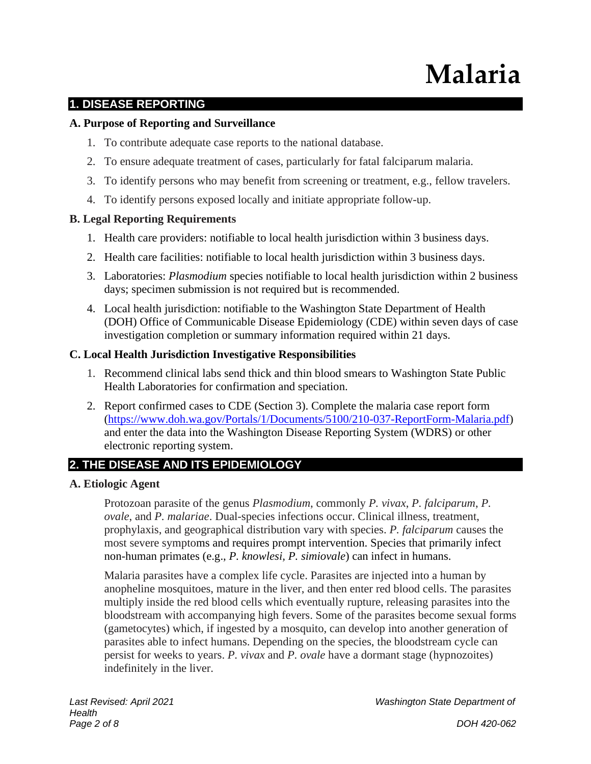# **Malaria**

## **1. DISEASE REPORTING**

## **A. Purpose of Reporting and Surveillance**

- 1. To contribute adequate case reports to the national database.
- 2. To ensure adequate treatment of cases, particularly for fatal falciparum malaria.
- 3. To identify persons who may benefit from screening or treatment, e.g., fellow travelers.
- 4. To identify persons exposed locally and initiate appropriate follow-up.

## **B. Legal Reporting Requirements**

- 1. Health care providers: notifiable to local health jurisdiction within 3 business days.
- 2. Health care facilities: notifiable to local health jurisdiction within 3 business days.
- 3. Laboratories: *Plasmodium* species notifiable to local health jurisdiction within 2 business days; specimen submission is not required but is recommended.
- 4. Local health jurisdiction: notifiable to the Washington State Department of Health (DOH) Office of Communicable Disease Epidemiology (CDE) within seven days of case investigation completion or summary information required within 21 days.

## **C. Local Health Jurisdiction Investigative Responsibilities**

- 1. Recommend clinical labs send thick and thin blood smears to Washington State Public Health Laboratories for confirmation and speciation.
- 2. Report confirmed cases to CDE (Section 3). Complete the malaria case report form [\(https://www.doh.wa.gov/Portals/1/Documents/5100/210-037-ReportForm-Malaria.pdf\)](https://www.doh.wa.gov/Portals/1/Documents/5100/210-037-ReportForm-Malaria.pdf) and enter the data into the Washington Disease Reporting System (WDRS) or other electronic reporting system.

# **2. THE DISEASE AND ITS EPIDEMIOLOGY**

#### **A. Etiologic Agent**

Protozoan parasite of the genus *Plasmodium*, commonly *P. vivax*, *P. falciparum*, *P. ovale*, and *P. malariae*. Dual-species infections occur. Clinical illness, treatment, prophylaxis, and geographical distribution vary with species. *P. falciparum* causes the most severe symptoms and requires prompt intervention. Species that primarily infect non-human primates (e.g., *P. knowlesi, P. simiovale*) can infect in humans.

Malaria parasites have a complex life cycle. Parasites are injected into a human by anopheline mosquitoes, mature in the liver, and then enter red blood cells. The parasites multiply inside the red blood cells which eventually rupture, releasing parasites into the bloodstream with accompanying high fevers. Some of the parasites become sexual forms (gametocytes) which, if ingested by a mosquito, can develop into another generation of parasites able to infect humans. Depending on the species, the bloodstream cycle can persist for weeks to years. *P. vivax* and *P. ovale* have a dormant stage (hypnozoites) indefinitely in the liver.

*Last Revised: April 2021 Washington State Department of*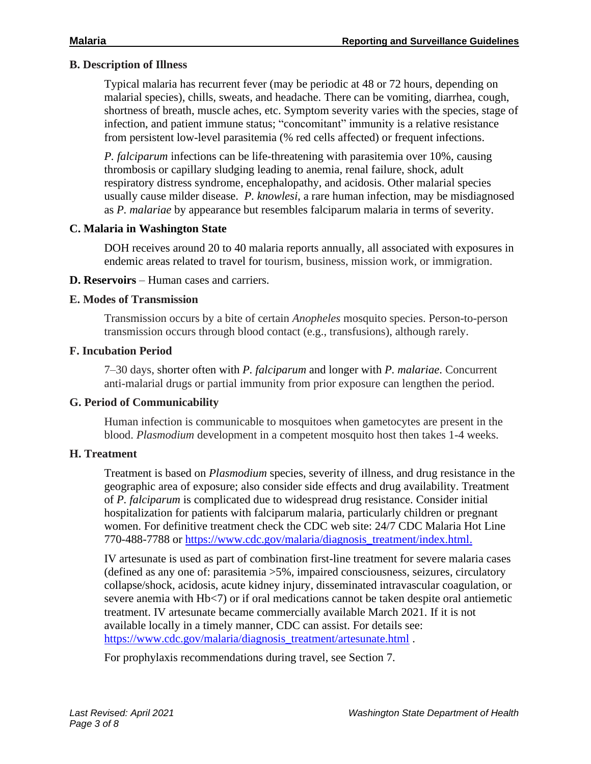#### **B. Description of Illness**

Typical malaria has recurrent fever (may be periodic at 48 or 72 hours, depending on malarial species), chills, sweats, and headache. There can be vomiting, diarrhea, cough, shortness of breath, muscle aches, etc. Symptom severity varies with the species, stage of infection, and patient immune status; "concomitant" immunity is a relative resistance from persistent low-level parasitemia (% red cells affected) or frequent infections.

*P. falciparum* infections can be life-threatening with parasitemia over 10%, causing thrombosis or capillary sludging leading to anemia, renal failure, shock, adult respiratory distress syndrome, encephalopathy, and acidosis. Other malarial species usually cause milder disease. *P. knowlesi*, a rare human infection, may be misdiagnosed as *P. malariae* by appearance but resembles falciparum malaria in terms of severity*.*

#### **C. Malaria in Washington State**

DOH receives around 20 to 40 malaria reports annually, all associated with exposures in endemic areas related to travel for tourism, business, mission work, or immigration.

#### **D. Reservoirs** – Human cases and carriers.

#### **E. Modes of Transmission**

Transmission occurs by a bite of certain *Anopheles* mosquito species. Person-to-person transmission occurs through blood contact (e.g., transfusions), although rarely.

#### **F. Incubation Period**

7–30 days, shorter often with *P. falciparum* and longer with *P. malariae*. Concurrent anti-malarial drugs or partial immunity from prior exposure can lengthen the period.

#### **G. Period of Communicability**

Human infection is communicable to mosquitoes when gametocytes are present in the blood. *Plasmodium* development in a competent mosquito host then takes 1-4 weeks.

## **H. Treatment**

Treatment is based on *Plasmodium* species, severity of illness, and drug resistance in the geographic area of exposure; also consider side effects and drug availability. Treatment of *P. falciparum* is complicated due to widespread drug resistance. Consider initial hospitalization for patients with falciparum malaria, particularly children or pregnant women. For definitive treatment check the CDC web site: 24/7 CDC Malaria Hot Line 770-488-7788 or [https://www.cdc.gov/malaria/diagnosis\\_treatment/index.html.](https://www.cdc.gov/malaria/diagnosis_treatment/index.html)

IV artesunate is used as part of combination first-line treatment for severe malaria cases (defined as any one of: parasitemia >5%, impaired consciousness, seizures, circulatory collapse/shock, acidosis, acute kidney injury, disseminated intravascular coagulation, or severe anemia with Hb<7) or if oral medications cannot be taken despite oral antiemetic treatment. IV artesunate became commercially available March 2021. If it is not available locally in a timely manner, CDC can assist. For details see: [https://www.cdc.gov/malaria/diagnosis\\_treatment/artesunate.html](https://www.cdc.gov/malaria/diagnosis_treatment/artesunate.html) .

For prophylaxis recommendations during travel, see Section 7.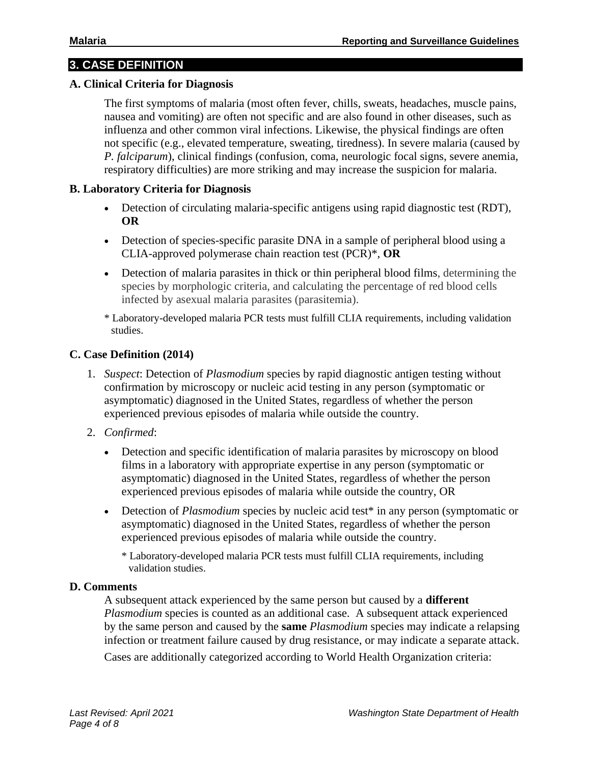# **3. CASE DEFINITION**

#### **A. Clinical Criteria for Diagnosis**

The first symptoms of malaria (most often fever, chills, sweats, headaches, muscle pains, nausea and vomiting) are often not specific and are also found in other diseases, such as influenza and other common viral infections. Likewise, the physical findings are often not specific (e.g., elevated temperature, sweating, tiredness). In severe malaria (caused by *P. falciparum*), clinical findings (confusion, coma, neurologic focal signs, severe anemia, respiratory difficulties) are more striking and may increase the suspicion for malaria.

#### **B. Laboratory Criteria for Diagnosis**

- Detection of circulating malaria-specific antigens using rapid diagnostic test (RDT), **OR**
- Detection of species-specific parasite DNA in a sample of peripheral blood using a CLIA-approved polymerase chain reaction test (PCR)\*, **OR**
- Detection of malaria parasites in thick or thin peripheral blood films, determining the species by morphologic criteria, and calculating the percentage of red blood cells infected by asexual malaria parasites (parasitemia).
- \* Laboratory-developed malaria PCR tests must fulfill CLIA requirements, including validation studies.

#### **C. Case Definition (2014)**

- 1. *Suspect*: Detection of *Plasmodium* species by rapid diagnostic antigen testing without confirmation by microscopy or nucleic acid testing in any person (symptomatic or asymptomatic) diagnosed in the United States, regardless of whether the person experienced previous episodes of malaria while outside the country.
- 2. *Confirmed*:
	- Detection and specific identification of malaria parasites by microscopy on blood films in a laboratory with appropriate expertise in any person (symptomatic or asymptomatic) diagnosed in the United States, regardless of whether the person experienced previous episodes of malaria while outside the country, OR
	- Detection of *Plasmodium* species by nucleic acid test<sup>\*</sup> in any person (symptomatic or asymptomatic) diagnosed in the United States, regardless of whether the person experienced previous episodes of malaria while outside the country.

\* Laboratory-developed malaria PCR tests must fulfill CLIA requirements, including validation studies.

#### **D. Comments**

A subsequent attack experienced by the same person but caused by a **different**  *Plasmodium* species is counted as an additional case. A subsequent attack experienced by the same person and caused by the **same** *Plasmodium* species may indicate a relapsing infection or treatment failure caused by drug resistance, or may indicate a separate attack.

Cases are additionally categorized according to World Health Organization criteria: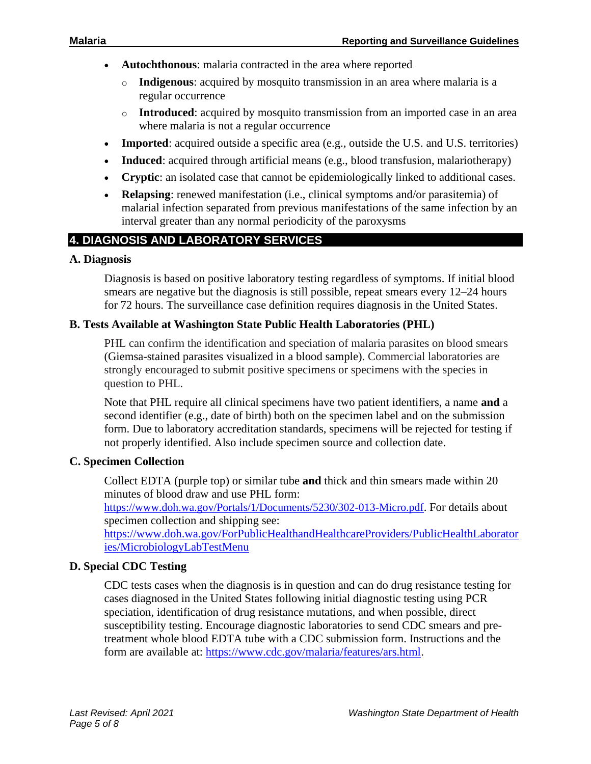- **Autochthonous**: malaria contracted in the area where reported
	- o **Indigenous**: acquired by mosquito transmission in an area where malaria is a regular occurrence
	- o **Introduced**: acquired by mosquito transmission from an imported case in an area where malaria is not a regular occurrence
- **Imported**: acquired outside a specific area (e.g., outside the U.S. and U.S. territories)
- **Induced**: acquired through artificial means (e.g., blood transfusion, malariotherapy)
- **Cryptic**: an isolated case that cannot be epidemiologically linked to additional cases.
- **Relapsing**: renewed manifestation (i.e., clinical symptoms and/or parasitemia) of malarial infection separated from previous manifestations of the same infection by an interval greater than any normal periodicity of the paroxysms

# **4. DIAGNOSIS AND LABORATORY SERVICES**

#### **A. Diagnosis**

Diagnosis is based on positive laboratory testing regardless of symptoms. If initial blood smears are negative but the diagnosis is still possible, repeat smears every 12–24 hours for 72 hours. The surveillance case definition requires diagnosis in the United States.

#### **B. Tests Available at Washington State Public Health Laboratories (PHL)**

PHL can confirm the identification and speciation of malaria parasites on blood smears (Giemsa-stained parasites visualized in a blood sample). Commercial laboratories are strongly encouraged to submit positive specimens or specimens with the species in question to PHL.

Note that PHL require all clinical specimens have two patient identifiers, a name **and** a second identifier (e.g., date of birth) both on the specimen label and on the submission form. Due to laboratory accreditation standards, specimens will be rejected for testing if not properly identified. Also include specimen source and collection date.

#### **C. Specimen Collection**

Collect EDTA (purple top) or similar tube **and** thick and thin smears made within 20 minutes of blood draw and use PHL form:

<https://www.doh.wa.gov/Portals/1/Documents/5230/302-013-Micro.pdf>. For details about specimen collection and shipping see:

[https://www.doh.wa.gov/ForPublicHealthandHealthcareProviders/PublicHealthLaborator](https://www.doh.wa.gov/ForPublicHealthandHealthcareProviders/PublicHealthLaboratories/MicrobiologyLabTestMenu) [ies/MicrobiologyLabTestMenu](https://www.doh.wa.gov/ForPublicHealthandHealthcareProviders/PublicHealthLaboratories/MicrobiologyLabTestMenu)

## **D. Special CDC Testing**

CDC tests cases when the diagnosis is in question and can do drug resistance testing for cases diagnosed in the United States following initial diagnostic testing using PCR speciation, identification of drug resistance mutations, and when possible, direct susceptibility testing. Encourage diagnostic laboratories to send CDC smears and pretreatment whole blood EDTA tube with a CDC submission form. Instructions and the form are available at: [https://www.cdc.gov/malaria/features/ars.html.](https://www.cdc.gov/malaria/features/ars.html)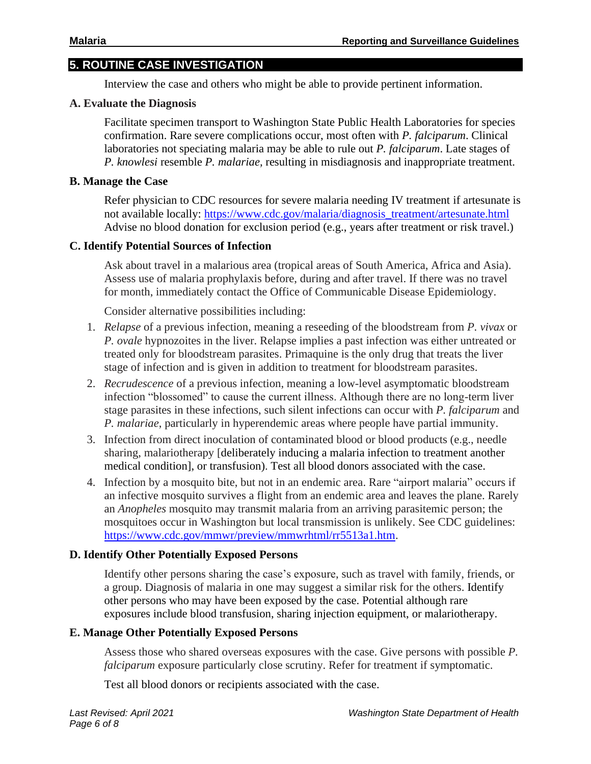# **5. ROUTINE CASE INVESTIGATION**

Interview the case and others who might be able to provide pertinent information.

## **A. Evaluate the Diagnosis**

Facilitate specimen transport to Washington State Public Health Laboratories for species confirmation. Rare severe complications occur, most often with *P. falciparum*. Clinical laboratories not speciating malaria may be able to rule out *P. falciparum*. Late stages of *P. knowlesi* resemble *P. malariae,* resulting in misdiagnosis and inappropriate treatment.

#### **B. Manage the Case**

Refer physician to CDC resources for severe malaria needing IV treatment if artesunate is not available locally: [https://www.cdc.gov/malaria/diagnosis\\_treatment/artesunate.html](https://www.cdc.gov/malaria/diagnosis_treatment/artesunate.html) Advise no blood donation for exclusion period (e.g., years after treatment or risk travel.)

#### **C. Identify Potential Sources of Infection**

Ask about travel in a malarious area (tropical areas of South America, Africa and Asia). Assess use of malaria prophylaxis before, during and after travel. If there was no travel for month, immediately contact the Office of Communicable Disease Epidemiology.

Consider alternative possibilities including:

- 1. *Relapse* of a previous infection, meaning a reseeding of the bloodstream from *P. vivax* or *P. ovale* hypnozoites in the liver. Relapse implies a past infection was either untreated or treated only for bloodstream parasites. Primaquine is the only drug that treats the liver stage of infection and is given in addition to treatment for bloodstream parasites.
- 2. *Recrudescence* of a previous infection, meaning a low-level asymptomatic bloodstream infection "blossomed" to cause the current illness. Although there are no long-term liver stage parasites in these infections, such silent infections can occur with *P. falciparum* and *P. malariae*, particularly in hyperendemic areas where people have partial immunity.
- 3. Infection from direct inoculation of contaminated blood or blood products (e.g., needle sharing, malariotherapy [deliberately inducing a malaria infection to treatment another medical condition], or transfusion). Test all blood donors associated with the case.
- 4. Infection by a mosquito bite, but not in an endemic area. Rare "airport malaria" occurs if an infective mosquito survives a flight from an endemic area and leaves the plane. Rarely an *Anopheles* mosquito may transmit malaria from an arriving parasitemic person; the mosquitoes occur in Washington but local transmission is unlikely. See CDC guidelines: [https://www.cdc.gov/mmwr/preview/mmwrhtml/rr5513a1.htm.](https://www.cdc.gov/mmwr/preview/mmwrhtml/rr5513a1.htm)

## **D. Identify Other Potentially Exposed Persons**

Identify other persons sharing the case's exposure, such as travel with family, friends, or a group. Diagnosis of malaria in one may suggest a similar risk for the others. Identify other persons who may have been exposed by the case. Potential although rare exposures include blood transfusion, sharing injection equipment, or malariotherapy.

## **E. Manage Other Potentially Exposed Persons**

Assess those who shared overseas exposures with the case. Give persons with possible *P. falciparum* exposure particularly close scrutiny. Refer for treatment if symptomatic.

Test all blood donors or recipients associated with the case.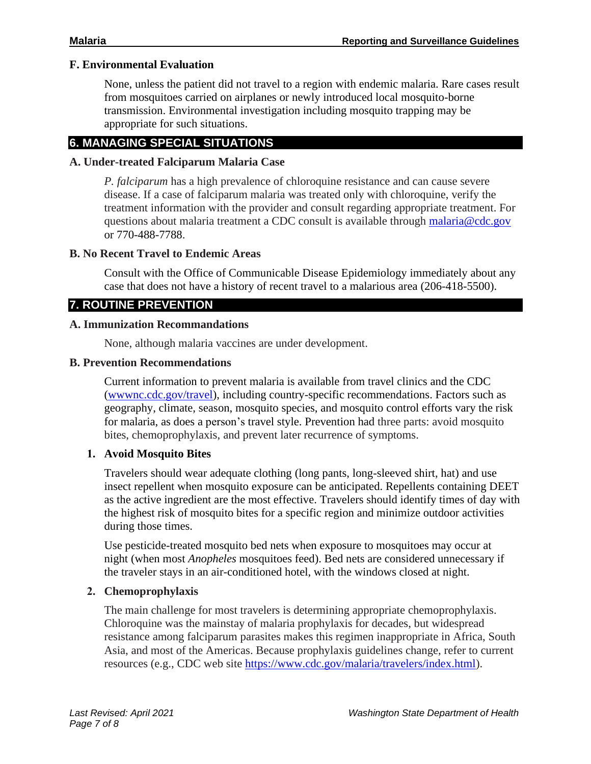#### **F. Environmental Evaluation**

None, unless the patient did not travel to a region with endemic malaria. Rare cases result from mosquitoes carried on airplanes or newly introduced local mosquito-borne transmission. Environmental investigation including mosquito trapping may be appropriate for such situations.

## **6. MANAGING SPECIAL SITUATIONS**

#### **A. Under-treated Falciparum Malaria Case**

*P. falciparum* has a high prevalence of chloroquine resistance and can cause severe disease. If a case of falciparum malaria was treated only with chloroquine, verify the treatment information with the provider and consult regarding appropriate treatment. For questions about malaria treatment a CDC consult is available through [malaria@cdc.gov](mailto:malaria@cdc.gov) or 770-488-7788.

#### **B. No Recent Travel to Endemic Areas**

Consult with the Office of Communicable Disease Epidemiology immediately about any case that does not have a history of recent travel to a malarious area (206-418-5500).

# **7. ROUTINE PREVENTION**

#### **A. Immunization Recommandations**

None, although malaria vaccines are under development.

#### **B. Prevention Recommendations**

Current information to prevent malaria is available from travel clinics and the CDC [\(wwwnc.cdc.gov/travel\)](https://wwwnc.cdc.gov/travel/), including country-specific recommendations. Factors such as geography, climate, season, mosquito species, and mosquito control efforts vary the risk for malaria, as does a person's travel style. Prevention had three parts: avoid mosquito bites, chemoprophylaxis, and prevent later recurrence of symptoms.

## **1. Avoid Mosquito Bites**

Travelers should wear adequate clothing (long pants, long-sleeved shirt, hat) and use insect repellent when mosquito exposure can be anticipated. Repellents containing DEET as the active ingredient are the most effective. Travelers should identify times of day with the highest risk of mosquito bites for a specific region and minimize outdoor activities during those times.

Use pesticide-treated mosquito bed nets when exposure to mosquitoes may occur at night (when most *Anopheles* mosquitoes feed). Bed nets are considered unnecessary if the traveler stays in an air-conditioned hotel, with the windows closed at night.

## **2. Chemoprophylaxis**

The main challenge for most travelers is determining appropriate chemoprophylaxis. Chloroquine was the mainstay of malaria prophylaxis for decades, but widespread resistance among falciparum parasites makes this regimen inappropriate in Africa, South Asia, and most of the Americas. Because prophylaxis guidelines change, refer to current resources (e.g., CDC web site [https://www.cdc.gov/malaria/travelers/index.html\)](https://www.cdc.gov/malaria/travelers/index.html).